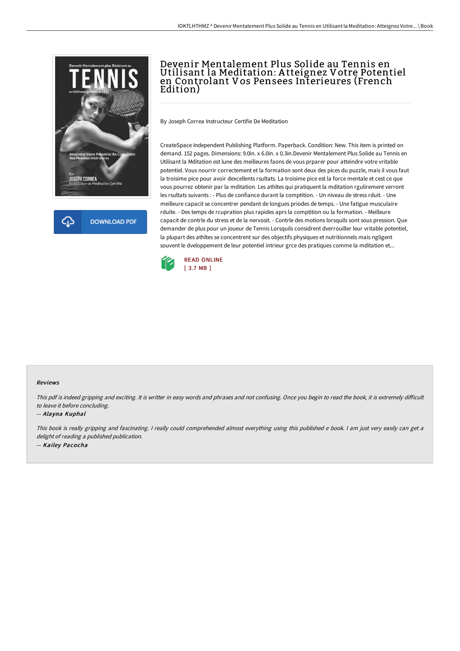



# Devenir Mentalement Plus Solide au Tennis en Utilisant la Meditation: A tteignez Votre Potentiel en Controlant Vos Pensees Interieures (French Edition)

By Joseph Correa Instructeur Certifie De Meditation

CreateSpace Independent Publishing Platform. Paperback. Condition: New. This item is printed on demand. 152 pages. Dimensions: 9.0in. x 6.0in. x 0.3in.Devenir Mentalement Plus Solide au Tennis en Utilisant la Mditation est lune des meilleures faons de vous prparer pour atteindre votre vritable potentiel. Vous nourrir correctement et la formation sont deux des pices du puzzle, mais il vous faut la troisime pice pour avoir dexcellents rsultats. La troisime pice est la force mentale et cest ce que vous pourrez obtenir par la mditation. Les athltes qui pratiquent la mditation rgulirement verront les rsultats suivants : - Plus de confiance durant la comptition. - Un niveau de stress rduit. - Une meilleure capacit se concentrer pendant de longues priodes de temps. - Une fatigue musculaire rduite. - Des temps de rcupration plus rapides aprs la comptition ou la formation. - Meilleure capacit de contrle du stress et de la nervosit. - Contrle des motions lorsquils sont sous pression. Que demander de plus pour un joueur de Tennis Lorsquils considrent dverrouiller leur vritable potentiel, la plupart des athltes se concentrent sur des objectifs physiques et nutritionnels mais ngligent souvent le dveloppement de leur potentiel intrieur grce des pratiques comme la mditation et...



### Reviews

This pdf is indeed gripping and exciting. It is writter in easy words and phrases and not confusing. Once you begin to read the book, it is extremely difficult to leave it before concluding.

#### -- Alayna Kuphal

This book is really gripping and fascinating. I really could comprehended almost everything using this published e book. I am just very easily can get a delight of reading <sup>a</sup> published publication. -- Kailey Pacocha